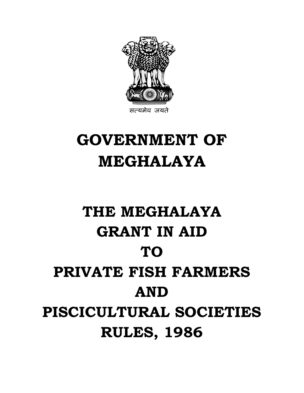

## **GOVERNMENT OF MEGHALAYA**

# **THE MEGHALAYA GRANT IN AID TO PRIVATE FISH FARMERS AND PISCICULTURAL SOCIETIES RULES, 1986**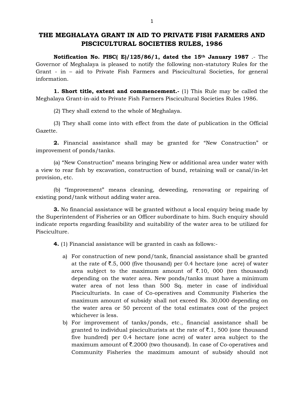### **THE MEGHALAYA GRANT IN AID TO PRIVATE FISH FARMERS AND PISCICULTURAL SOCIETIES RULES, 1986**

**Notification No. PISC( E)/125/86/1, dated the 15th January 1987** .- The Governor of Meghalaya is pleased to notify the following non-statutory Rules for the Grant - in – aid to Private Fish Farmers and Piscicultural Societies, for general information.

**1. Short title, extent and commencement.** (1) This Rule may be called the Meghalaya Grant-in-aid to Private Fish Farmers Piscicultural Societies Rules 1986.

(2) They shall extend to the whole of Meghalaya.

(3) They shall come into with effect from the date of publication in the Official Gazette.

**2.** Financial assistance shall may be granted for "New Construction" or improvement of ponds/tanks.

(a) "New Construction" means bringing New or additional area under water with a view to rear fish by excavation, construction of bund, retaining wall or canal/in-let provision, etc.

(b) "Improvement" means cleaning, deweeding, renovating or repairing of existing pond/tank without adding water area.

**3.** No financial assistance will be granted without a local enquiry being made by the Superintendent of Fisheries or an Officer subordinate to him. Such enquiry should indicate reports regarding feasibility and suitability of the water area to be utilized for Pisciculture.

**4.** (1) Financial assistance will be granted in cash as follows:-

- a) For construction of new pond/tank, financial assistance shall be granted at the rate of  $\bar{\mathfrak{c}}$ .5, 000 (five thousand) per 0.4 hectare (one acre) of water area subject to the maximum amount of  $\bar{\tau}$ .10, 000 (ten thousand) depending on the water area. New ponds/tanks must have a minimum water area of not less than 500 Sq. meter in case of individual Pisciculturists. In case of Co-operatives and Community Fisheries the maximum amount of subsidy shall not exceed Rs. 30,000 depending on the water area or 50 percent of the total estimates cost of the project whichever is less.
- b) For improvement of tanks/ponds, etc., financial assistance shall be granted to individual pisciculturists at the rate of  $\bar{z}$ .1, 500 (one thousand five hundred) per 0.4 hectare (one acre) of water area subject to the maximum amount of  $\bar{\tau}$ . 2000 (two thousand). In case of Co-operatives and Community Fisheries the maximum amount of subsidy should not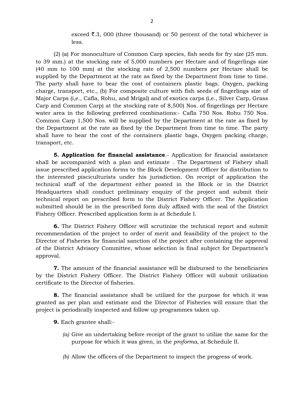exceed  $\bar{\xi}$ .3, 000 (three thousand) or 50 percent of the total whichever is less.

(2) (a) For monoculture of Common Carp species, fish seeds for fry size (25 mm. to 39 mm.) at the stocking rate of 5,000 numbers per Hectare and of fingerlings size (40 mm to 100 mm) at the stocking rate of 2,500 numbers per Hectare shall be supplied by the Department at the rate as fixed by the Department from time to time. The party shall have to bear the cost of containers plastic bags. Oxygen, packing charge, transport, etc., (b) For composite culture with fish seeds of fingerlings size of Major Carps (i,e., Cafla, Rohu, and Mrigal) and of exotics carps (i,e., Silver Carp, Grass Carp and Common Carp) at the stocking rate of 8,500) Nos. of fingerlings per Hectare water area in the following preferred combinations:- Cafla 750 Nos. Rohu 750 Nos. Common Carp 1,500 Nos. will be supplied by the Department at the rate as fixed by the Department at the rate as fixed by the Department from time to time. The party shall have to bear the cost of the containers plastic bags, Oxygen packing charge, transport, etc.

**5. Application for financial assistance**.- Application for financial assistance shall be accompanied with a plan and estimate . The Department of Fishery shall issue prescribed application forms to the Block Development Officer for distribution to the interested pisciculturists under his jurisdiction. On receipt of application the technical staff of the department either posted in the Block or in the District Headquarters shall conduct preliminary enquiry of the project and submit their technical report on prescribed form to the District Fishery Officer. The Application submitted should be in the prescribed form duly affixed with the seal of the District Fishery Officer. Prescribed application form is at Schedule I.

**6.** The District Fishery Officer will scrutinize the technical report and submit recommendation of the project to order of merit and feasibility of the project to the Director of Fisheries for financial sanction of the project after containing the approval of the District Advisory Committee, whose selection is final subject for Department's approval.

**7.** The amount of the financial assistance will be disbursed to the beneficiaries by the District Fishery Officer. The District Fishery Officer will submit utilization certificate to the Director of fisheries.

**8.** The financial assistance shall be utilized for the purpose for which it was granted as per plan and estimate and the Director of Fisheries will ensure that the project is periodically inspected and follow up programmes taken up.

**9.** Each grantee shall:-

- *(a)* Give an undertaking before receipt of the grant to utilize the same for the purpose for which it was given, in the *proforma,* at Schedule II.
- *(b)* Allow the officers of the Department to inspect the progress of work.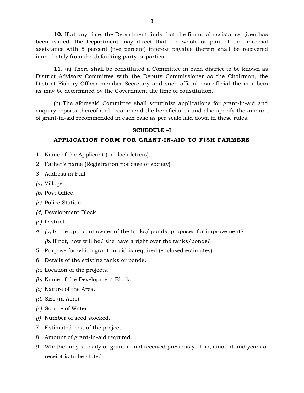**10.** If at any time, the Department finds that the financial assistance given has been issued, the Department may direct that the whole or part of the financial assistance with 5 percent (five percent) interest payable therein shall be recovered immediately from the defaulting party or parties.

**11.** (a) There shall be constituted a Committee in each district to be known as District Advisory Committee with the Deputy Commissioner as the Chairman, the District Fishery Officer member Secretary and such official non-official the members as may be determined by the Government the time of constitution.

(b) The aforesaid Committee shall scrutinize applications for grant-in-aid and enquiry reports thereof and recommend the beneficiaries and also specify the amount of grant-in-aid recommended in each case as per scale laid down in these rules.

#### **SCHEDULE –I**

#### **APPLICATION FORM FOR GRANT-IN-AID TO FISH FARMERS**

- 1. Name of the Applicant (in block letters).
- 2. Father's name (Registration not case of society)
- 3. Address in Full.
- *(a)* Village.
- *(b)* Post Office.
- *(c)* Police Station.
- *(d)* Development Block.
- *(e)* District.
- *4. (a)* Is the applicant owner of the tanks/ ponds, proposed for improvement? *(b)* If not, how will he/ she have a right over the tanks/ponds?
- 5. Purpose for which grant-in-aid is required (enclosed estimates).
- 6. Details of the existing tanks or ponds.
- *(a)* Location of the projects.
- *(b)* Name of the Development Block.
- *(c)* Nature of the Area.
- *(d)* Size (in Acre).
- *(e)* Source of Water.
- *(f)* Number of seed stocked.
- 7. Estimated cost of the project.
- 8. Amount of grant-in-aid required.
- 9. Whether any subsidy or grant-in-aid received previously. If so, amount and years of receipt is to be stated.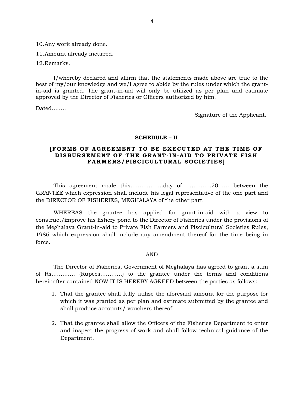10.Any work already done.

11.Amount already incurred.

12.Remarks.

I/whereby declared and affirm that the statements made above are true to the best of my/our knowledge and we/I agree to abide by the rules under which the grantin-aid is granted. The grant-in-aid will only be utilized as per plan and estimate approved by the Director of Fisheries or Officers authorized by him.

Dated……..

Signature of the Applicant.

#### **SCHEDULE – II**

#### **[FORMS OF AGREEMENT TO BE EXECUTED AT THE TIME OF DISBURSEMENT OF THE GRANT-IN-AID TO PRIVATE FISH** FARMERS/PISCICULTURAL SOCIETIES]

 This agreement made this………………day of …………..20…… between the GRANTEE which expression shall include his legal representative of the one part and the DIRECTOR OF FISHERIES, MEGHALAYA of the other part.

 WHEREAS the grantee has applied for grant-in-aid with a view to construct/improve his fishery pond to the Director of Fisheries under the provisions of the Meghalaya Grant-in-aid to Private Fish Farmers and Piscicultural Societies Rules, 1986 which expression shall include any amendment thereof for the time being in force.

#### AND

 The Director of Fisheries, Government of Meghalaya has agreed to grant a sum of Rs…………. (Rupees…………) to the grantee under the terms and conditions hereinafter contained NOW IT IS HEREBY AGREED between the parties as follows:-

- 1. That the grantee shall fully utilize the aforesaid amount for the purpose for which it was granted as per plan and estimate submitted by the grantee and shall produce accounts/ vouchers thereof.
- 2. That the grantee shall allow the Officers of the Fisheries Department to enter and inspect the progress of work and shall follow technical guidance of the Department.